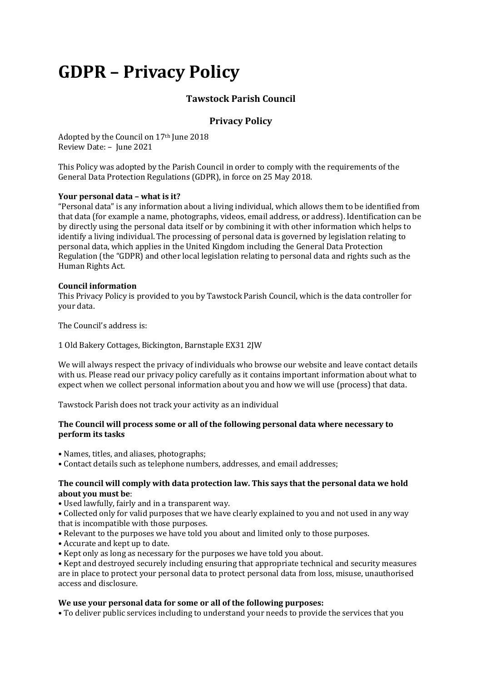# **GDPR – Privacy Policy**

# **Tawstock Parish Council**

# **Privacy Policy**

Adopted by the Council on 17th June 2018 Review Date: – June 2021

This Policy was adopted by the Parish Council in order to comply with the requirements of the General Data Protection Regulations (GDPR), in force on 25 May 2018.

#### **Your personal data – what is it?**

"Personal data" is any information about a living individual, which allows them to be identified from that data (for example a name, photographs, videos, email address, or address). Identification can be by directly using the personal data itself or by combining it with other information which helps to identify a living individual. The processing of personal data is governed by legislation relating to personal data, which applies in the United Kingdom including the General Data Protection Regulation (the "GDPR) and other local legislation relating to personal data and rights such as the Human Rights Act.

#### **Council information**

This Privacy Policy is provided to you by Tawstock Parish Council, which is the data controller for your data.

The Council's address is:

1 Old Bakery Cottages, Bickington, Barnstaple EX31 2JW

We will always respect the privacy of individuals who browse our website and leave contact details with us. Please read our privacy policy carefully as it contains important information about what to expect when we collect personal information about you and how we will use (process) that data.

Tawstock Parish does not track your activity as an individual

### **The Council will process some or all of the following personal data where necessary to perform its tasks**

- Names, titles, and aliases, photographs;
- Contact details such as telephone numbers, addresses, and email addresses;

# **The council will comply with data protection law. This says that the personal data we hold about you must be**:

- Used lawfully, fairly and in a transparent way.
- Collected only for valid purposes that we have clearly explained to you and not used in any way that is incompatible with those purposes.
- Relevant to the purposes we have told you about and limited only to those purposes.
- Accurate and kept up to date.
- Kept only as long as necessary for the purposes we have told you about.
- Kept and destroyed securely including ensuring that appropriate technical and security measures are in place to protect your personal data to protect personal data from loss, misuse, unauthorised access and disclosure.

# **We use your personal data for some or all of the following purposes:**

• To deliver public services including to understand your needs to provide the services that you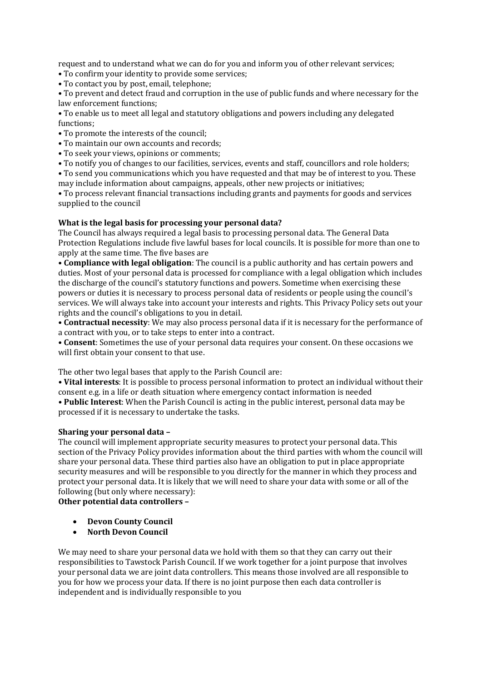request and to understand what we can do for you and inform you of other relevant services;

- To confirm your identity to provide some services;
- To contact you by post, email, telephone;

• To prevent and detect fraud and corruption in the use of public funds and where necessary for the law enforcement functions;

• To enable us to meet all legal and statutory obligations and powers including any delegated functions;

- To promote the interests of the council;
- To maintain our own accounts and records;
- To seek your views, opinions or comments;
- To notify you of changes to our facilities, services, events and staff, councillors and role holders;

• To send you communications which you have requested and that may be of interest to you. These may include information about campaigns, appeals, other new projects or initiatives;

• To process relevant financial transactions including grants and payments for goods and services supplied to the council

# **What is the legal basis for processing your personal data?**

The Council has always required a legal basis to processing personal data. The General Data Protection Regulations include five lawful bases for local councils. It is possible for more than one to apply at the same time. The five bases are

• **Compliance with legal obligation**: The council is a public authority and has certain powers and duties. Most of your personal data is processed for compliance with a legal obligation which includes the discharge of the council's statutory functions and powers. Sometime when exercising these powers or duties it is necessary to process personal data of residents or people using the council's services. We will always take into account your interests and rights. This Privacy Policy sets out your rights and the council's obligations to you in detail.

• **Contractual necessity**: We may also process personal data if it is necessary for the performance of a contract with you, or to take steps to enter into a contract.

• **Consent**: Sometimes the use of your personal data requires your consent. On these occasions we will first obtain your consent to that use.

The other two legal bases that apply to the Parish Council are:

**• Vital interests**: It is possible to process personal information to protect an individual without their consent e.g. in a life or death situation where emergency contact information is needed **• Public Interest**: When the Parish Council is acting in the public interest, personal data may be processed if it is necessary to undertake the tasks.

#### **Sharing your personal data –**

The council will implement appropriate security measures to protect your personal data. This section of the Privacy Policy provides information about the third parties with whom the council will share your personal data. These third parties also have an obligation to put in place appropriate security measures and will be responsible to you directly for the manner in which they process and protect your personal data. It is likely that we will need to share your data with some or all of the following (but only where necessary):

**Other potential data controllers –**

- **Devon County Council**
- **North Devon Council**

We may need to share your personal data we hold with them so that they can carry out their responsibilities to Tawstock Parish Council. If we work together for a joint purpose that involves your personal data we are joint data controllers. This means those involved are all responsible to you for how we process your data. If there is no joint purpose then each data controller is independent and is individually responsible to you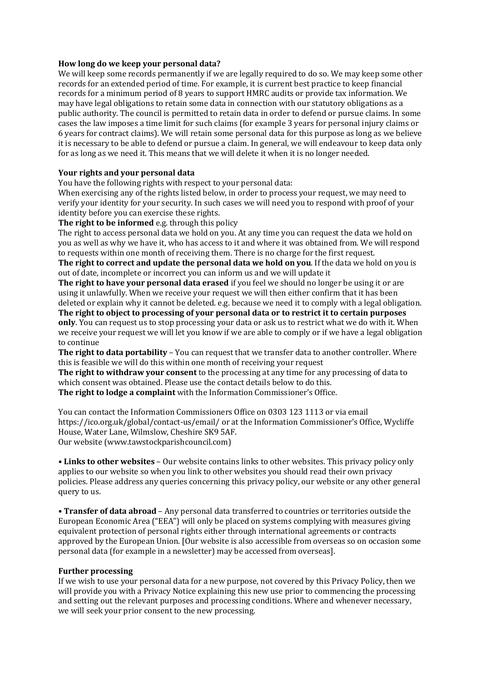#### **How long do we keep your personal data?**

We will keep some records permanently if we are legally required to do so. We may keep some other records for an extended period of time. For example, it is current best practice to keep financial records for a minimum period of 8 years to support HMRC audits or provide tax information. We may have legal obligations to retain some data in connection with our statutory obligations as a public authority. The council is permitted to retain data in order to defend or pursue claims. In some cases the law imposes a time limit for such claims (for example 3 years for personal injury claims or 6 years for contract claims). We will retain some personal data for this purpose as long as we believe it is necessary to be able to defend or pursue a claim. In general, we will endeavour to keep data only for as long as we need it. This means that we will delete it when it is no longer needed.

#### **Your rights and your personal data**

You have the following rights with respect to your personal data:

When exercising any of the rights listed below, in order to process your request, we may need to verify your identity for your security. In such cases we will need you to respond with proof of your identity before you can exercise these rights.

**The right to be informed** e.g. through this policy

The right to access personal data we hold on you. At any time you can request the data we hold on you as well as why we have it, who has access to it and where it was obtained from. We will respond to requests within one month of receiving them. There is no charge for the first request.

**The right to correct and update the personal data we hold on you**. If the data we hold on you is out of date, incomplete or incorrect you can inform us and we will update it

**The right to have your personal data erased** if you feel we should no longer be using it or are using it unlawfully. When we receive your request we will then either confirm that it has been deleted or explain why it cannot be deleted. e.g. because we need it to comply with a legal obligation.

**The right to object to processing of your personal data or to restrict it to certain purposes only**. You can request us to stop processing your data or ask us to restrict what we do with it. When we receive your request we will let you know if we are able to comply or if we have a legal obligation to continue

**The right to data portability** – You can request that we transfer data to another controller. Where this is feasible we will do this within one month of receiving your request

**The right to withdraw your consent** to the processing at any time for any processing of data to which consent was obtained. Please use the contact details below to do this.

**The right to lodge a complaint** with the Information Commissioner's Office.

You can contact the Information Commissioners Office on 0303 123 1113 or via email https://ico.org.uk/global/contact-us/email/ or at the Information Commissioner's Office, Wycliffe House, Water Lane, Wilmslow, Cheshire SK9 5AF. Our website (www.tawstockparishcouncil.com)

**• Links to other websites** – Our website contains links to other websites. This privacy policy only applies to our website so when you link to other websites you should read their own privacy policies. Please address any queries concerning this privacy policy, our website or any other general query to us.

**• Transfer of data abroad** – Any personal data transferred to countries or territories outside the European Economic Area ("EEA") will only be placed on systems complying with measures giving equivalent protection of personal rights either through international agreements or contracts approved by the European Union. [Our website is also accessible from overseas so on occasion some personal data (for example in a newsletter) may be accessed from overseas].

#### **Further processing**

If we wish to use your personal data for a new purpose, not covered by this Privacy Policy, then we will provide you with a Privacy Notice explaining this new use prior to commencing the processing and setting out the relevant purposes and processing conditions. Where and whenever necessary, we will seek your prior consent to the new processing.